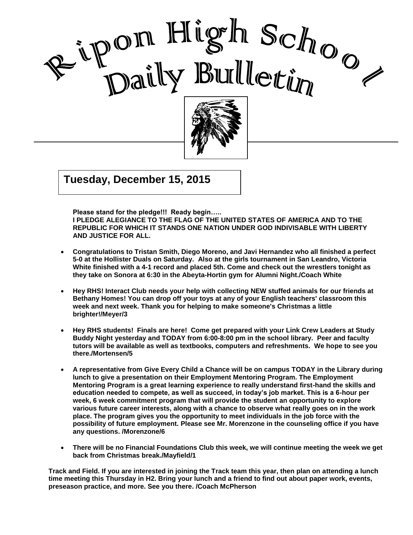



**Tuesday, December 15, 2015**  $\mathbb{R}$  and  $\mathbb{R}$   $\mathbb{R}$  and  $\mathbb{R}$   $\mathbb{R}$   $\mathbb{R}$   $\mathbb{R}$   $\mathbb{R}$   $\mathbb{R}$   $\mathbb{R}$   $\mathbb{R}$   $\mathbb{R}$   $\mathbb{R}$   $\mathbb{R}$   $\mathbb{R}$   $\mathbb{R}$   $\mathbb{R}$   $\mathbb{R}$   $\mathbb{R}$   $\mathbb{R}$   $\mathbb{R}$   $\mathbb{R}$   $\mathbb{R}$   $\mathbb{R$ 

**Please stand for the pledge!!! Ready begin…..** 

**I PLEDGE ALEGIANCE TO THE FLAG OF THE UNITED STATES OF AMERICA AND TO THE REPUBLIC FOR WHICH IT STANDS ONE NATION UNDER GOD INDIVISABLE WITH LIBERTY AND JUSTICE FOR ALL.**

I

- **Congratulations to Tristan Smith, Diego Moreno, and Javi Hernandez who all finished a perfect 5-0 at the Hollister Duals on Saturday. Also at the girls tournament in San Leandro, Victoria White finished with a 4-1 record and placed 5th. Come and check out the wrestlers tonight as they take on Sonora at 6:30 in the Abeyta-Hortin gym for Alumni Night./Coach White**
- **Hey RHS! Interact Club needs your help with collecting NEW stuffed animals for our friends at Bethany Homes! You can drop off your toys at any of your English teachers' classroom this week and next week. Thank you for helping to make someone's Christmas a little brighter!/Meyer/3**
- **Hey RHS students! Finals are here! Come get prepared with your Link Crew Leaders at Study Buddy Night yesterday and TODAY from 6:00-8:00 pm in the school library. Peer and faculty tutors will be available as well as textbooks, computers and refreshments. We hope to see you there./Mortensen/5**
- **A representative from Give Every Child a Chance will be on campus TODAY in the Library during lunch to give a presentation on their Employment Mentoring Program. The Employment Mentoring Program is a great learning experience to really understand first-hand the skills and education needed to compete, as well as succeed, in today's job market. This is a 6-hour per week, 6 week commitment program that will provide the student an opportunity to explore various future career interests, along with a chance to observe what really goes on in the work place. The program gives you the opportunity to meet individuals in the job force with the possibility of future employment. Please see Mr. Morenzone in the counseling office if you have any questions. /Morenzone/6**
- **There will be no Financial Foundations Club this week, we will continue meeting the week we get back from Christmas break./Mayfield/1**

**Track and Field. If you are interested in joining the Track team this year, then plan on attending a lunch time meeting this Thursday in H2. Bring your lunch and a friend to find out about paper work, events, preseason practice, and more. See you there. /Coach McPherson**